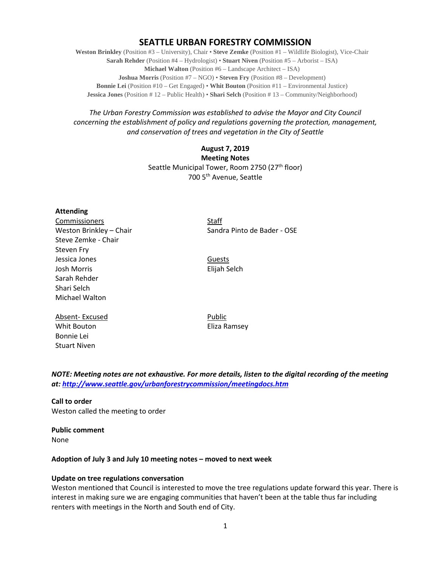# **SEATTLE URBAN FORESTRY COMMISSION**

**Weston Brinkley** (Position #3 – University), Chair • **Steve Zemke** (Position #1 – Wildlife Biologist), Vice-Chair **Sarah Rehder** (Position #4 – Hydrologist) • **Stuart Niven** (Position #5 – Arborist – ISA) **Michael Walton** (Position #6 – Landscape Architect – ISA) **Joshua Morris** (Position #7 – NGO) • **Steven Fry** (Position #8 – Development) **Bonnie Lei** (Position #10 – Get Engaged) • **Whit Bouton** (Position #11 – Environmental Justice) **Jessica Jones** (Position # 12 – Public Health) • **Shari Selch** (Position # 13 – Community/Neighborhood)

*The Urban Forestry Commission was established to advise the Mayor and City Council concerning the establishment of policy and regulations governing the protection, management, and conservation of trees and vegetation in the City of Seattle*

# **August 7, 2019 Meeting Notes** Seattle Municipal Tower, Room 2750 (27<sup>th</sup> floor) 700 5th Avenue, Seattle

# **Attending**

Commissioners Staff Steve Zemke - Chair Steven Fry Jessica Jones Guests Josh Morris Elijah Selch Sarah Rehder Shari Selch Michael Walton

Absent- Excused Public Whit Bouton **Eliza Ramsey** Bonnie Lei Stuart Niven

Weston Brinkley – Chair Sandra Pinto de Bader - OSE

*NOTE: Meeting notes are not exhaustive. For more details, listen to the digital recording of the meeting at:<http://www.seattle.gov/urbanforestrycommission/meetingdocs.htm>*

**Call to order**  Weston called the meeting to order

**Public comment** None

# **Adoption of July 3 and July 10 meeting notes – moved to next week**

# **Update on tree regulations conversation**

Weston mentioned that Council is interested to move the tree regulations update forward this year. There is interest in making sure we are engaging communities that haven't been at the table thus far including renters with meetings in the North and South end of City.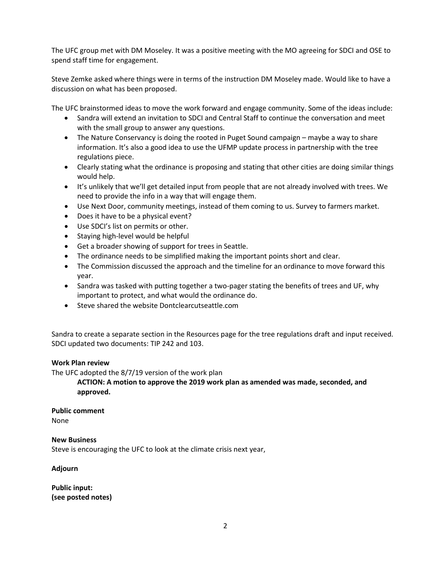The UFC group met with DM Moseley. It was a positive meeting with the MO agreeing for SDCI and OSE to spend staff time for engagement.

Steve Zemke asked where things were in terms of the instruction DM Moseley made. Would like to have a discussion on what has been proposed.

The UFC brainstormed ideas to move the work forward and engage community. Some of the ideas include:

- Sandra will extend an invitation to SDCI and Central Staff to continue the conversation and meet with the small group to answer any questions.
- The Nature Conservancy is doing the rooted in Puget Sound campaign maybe a way to share information. It's also a good idea to use the UFMP update process in partnership with the tree regulations piece.
- Clearly stating what the ordinance is proposing and stating that other cities are doing similar things would help.
- It's unlikely that we'll get detailed input from people that are not already involved with trees. We need to provide the info in a way that will engage them.
- Use Next Door, community meetings, instead of them coming to us. Survey to farmers market.
- Does it have to be a physical event?
- Use SDCI's list on permits or other.
- Staying high-level would be helpful
- Get a broader showing of support for trees in Seattle.
- The ordinance needs to be simplified making the important points short and clear.
- The Commission discussed the approach and the timeline for an ordinance to move forward this year.
- Sandra was tasked with putting together a two-pager stating the benefits of trees and UF, why important to protect, and what would the ordinance do.
- Steve shared the website Dontclearcutseattle.com

Sandra to create a separate section in the Resources page for the tree regulations draft and input received. SDCI updated two documents: TIP 242 and 103.

# **Work Plan review**

The UFC adopted the 8/7/19 version of the work plan

**ACTION: A motion to approve the 2019 work plan as amended was made, seconded, and approved.**

# **Public comment** None

**New Business** Steve is encouraging the UFC to look at the climate crisis next year,

**Adjourn**

**Public input: (see posted notes)**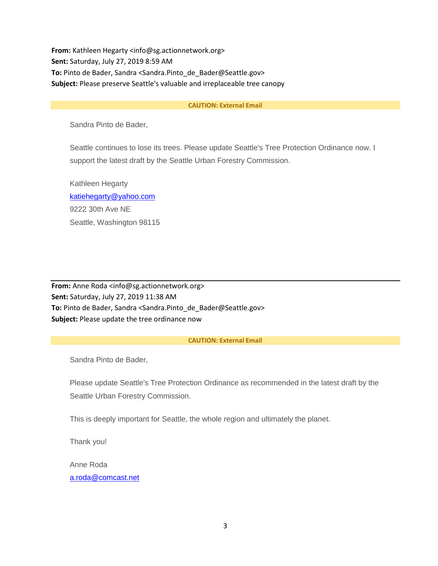From: Kathleen Hegarty <info@sg.actionnetwork.org> **Sent:** Saturday, July 27, 2019 8:59 AM **To:** Pinto de Bader, Sandra <Sandra.Pinto\_de\_Bader@Seattle.gov> **Subject:** Please preserve Seattle's valuable and irreplaceable tree canopy

# **CAUTION: External Email**

Sandra Pinto de Bader,

Seattle continues to lose its trees. Please update Seattle's Tree Protection Ordinance now. I support the latest draft by the Seattle Urban Forestry Commission.

Kathleen Hegarty [katiehegarty@yahoo.com](mailto:katiehegarty@yahoo.com) 9222 30th Ave NE Seattle, Washington 98115

**From:** Anne Roda <info@sg.actionnetwork.org> **Sent:** Saturday, July 27, 2019 11:38 AM **To:** Pinto de Bader, Sandra <Sandra.Pinto\_de\_Bader@Seattle.gov> **Subject:** Please update the tree ordinance now

## **CAUTION: External Email**

Sandra Pinto de Bader,

Please update Seattle's Tree Protection Ordinance as recommended in the latest draft by the Seattle Urban Forestry Commission.

This is deeply important for Seattle, the whole region and ultimately the planet.

Thank you!

Anne Roda [a.roda@comcast.net](mailto:a.roda@comcast.net)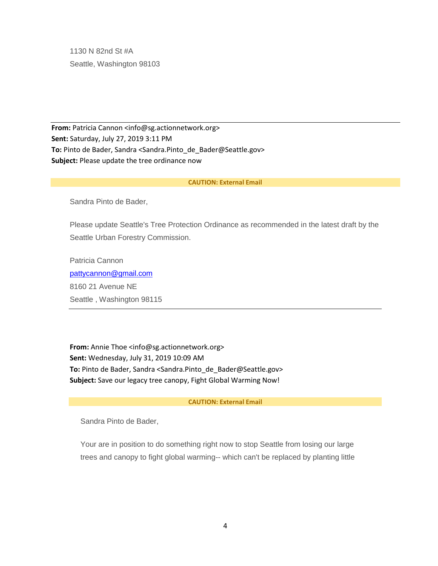1130 N 82nd St #A Seattle, Washington 98103

**From:** Patricia Cannon <info@sg.actionnetwork.org> **Sent:** Saturday, July 27, 2019 3:11 PM **To:** Pinto de Bader, Sandra <Sandra.Pinto\_de\_Bader@Seattle.gov> **Subject:** Please update the tree ordinance now

# **CAUTION: External Email**

Sandra Pinto de Bader,

Please update Seattle's Tree Protection Ordinance as recommended in the latest draft by the Seattle Urban Forestry Commission.

Patricia Cannon [pattycannon@gmail.com](mailto:pattycannon@gmail.com) 8160 21 Avenue NE Seattle , Washington 98115

**From:** Annie Thoe <info@sg.actionnetwork.org> **Sent:** Wednesday, July 31, 2019 10:09 AM **To:** Pinto de Bader, Sandra <Sandra.Pinto\_de\_Bader@Seattle.gov> **Subject:** Save our legacy tree canopy, Fight Global Warming Now!

## **CAUTION: External Email**

Sandra Pinto de Bader,

Your are in position to do something right now to stop Seattle from losing our large trees and canopy to fight global warming-- which can't be replaced by planting little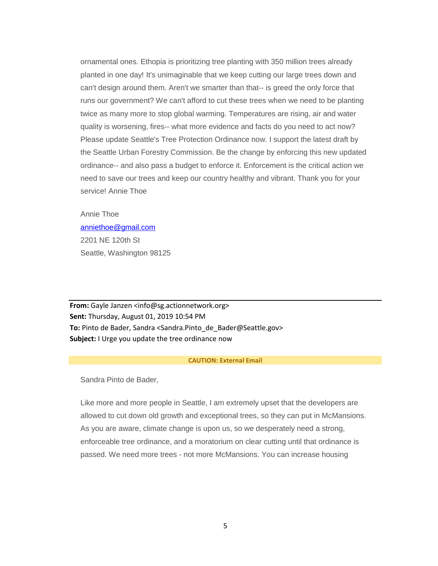ornamental ones. Ethopia is prioritizing tree planting with 350 million trees already planted in one day! It's unimaginable that we keep cutting our large trees down and can't design around them. Aren't we smarter than that-- is greed the only force that runs our government? We can't afford to cut these trees when we need to be planting twice as many more to stop global warming. Temperatures are rising, air and water quality is worsening, fires-- what more evidence and facts do you need to act now? Please update Seattle's Tree Protection Ordinance now. I support the latest draft by the Seattle Urban Forestry Commission. Be the change by enforcing this new updated ordinance-- and also pass a budget to enforce it. Enforcement is the critical action we need to save our trees and keep our country healthy and vibrant. Thank you for your service! Annie Thoe

Annie Thoe [anniethoe@gmail.com](mailto:anniethoe@gmail.com) 2201 NE 120th St Seattle, Washington 98125

**From:** Gayle Janzen <info@sg.actionnetwork.org> **Sent:** Thursday, August 01, 2019 10:54 PM **To:** Pinto de Bader, Sandra <Sandra.Pinto\_de\_Bader@Seattle.gov> **Subject:** I Urge you update the tree ordinance now

# **CAUTION: External Email**

Sandra Pinto de Bader,

Like more and more people in Seattle, I am extremely upset that the developers are allowed to cut down old growth and exceptional trees, so they can put in McMansions. As you are aware, climate change is upon us, so we desperately need a strong, enforceable tree ordinance, and a moratorium on clear cutting until that ordinance is passed. We need more trees - not more McMansions. You can increase housing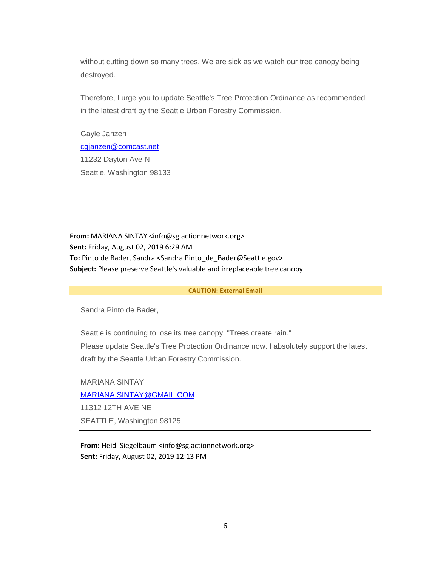without cutting down so many trees. We are sick as we watch our tree canopy being destroyed.

Therefore, I urge you to update Seattle's Tree Protection Ordinance as recommended in the latest draft by the Seattle Urban Forestry Commission.

Gayle Janzen [cgjanzen@comcast.net](mailto:cgjanzen@comcast.net) 11232 Dayton Ave N Seattle, Washington 98133

**From:** MARIANA SINTAY <info@sg.actionnetwork.org> **Sent:** Friday, August 02, 2019 6:29 AM **To:** Pinto de Bader, Sandra <Sandra.Pinto\_de\_Bader@Seattle.gov> **Subject:** Please preserve Seattle's valuable and irreplaceable tree canopy

# **CAUTION: External Email**

Sandra Pinto de Bader,

Seattle is continuing to lose its tree canopy. "Trees create rain."

Please update Seattle's Tree Protection Ordinance now. I absolutely support the latest draft by the Seattle Urban Forestry Commission.

MARIANA SINTAY [MARIANA.SINTAY@GMAIL.COM](mailto:MARIANA.SINTAY@GMAIL.COM) 11312 12TH AVE NE SEATTLE, Washington 98125

**From:** Heidi Siegelbaum <info@sg.actionnetwork.org> **Sent:** Friday, August 02, 2019 12:13 PM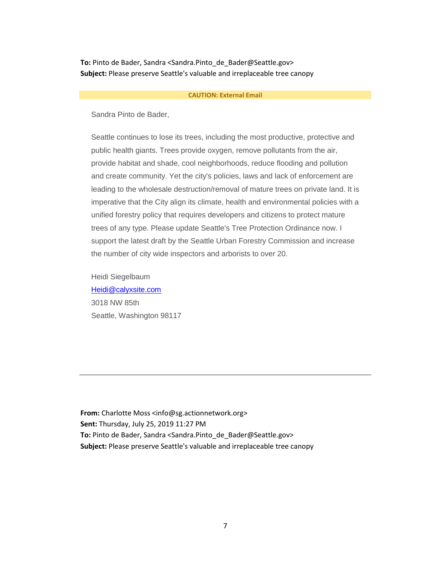**To:** Pinto de Bader, Sandra <Sandra.Pinto\_de\_Bader@Seattle.gov> **Subject:** Please preserve Seattle's valuable and irreplaceable tree canopy

# **CAUTION: External Email**

Sandra Pinto de Bader,

Seattle continues to lose its trees, including the most productive, protective and public health giants. Trees provide oxygen, remove pollutants from the air, provide habitat and shade, cool neighborhoods, reduce flooding and pollution and create community. Yet the city's policies, laws and lack of enforcement are leading to the wholesale destruction/removal of mature trees on private land. It is imperative that the City align its climate, health and environmental policies with a unified forestry policy that requires developers and citizens to protect mature trees of any type. Please update Seattle's Tree Protection Ordinance now. I support the latest draft by the Seattle Urban Forestry Commission and increase the number of city wide inspectors and arborists to over 20.

Heidi Siegelbaum [Heidi@calyxsite.com](mailto:Heidi@calyxsite.com) 3018 NW 85th Seattle, Washington 98117

**From:** Charlotte Moss <info@sg.actionnetwork.org> **Sent:** Thursday, July 25, 2019 11:27 PM To: Pinto de Bader, Sandra <Sandra.Pinto de Bader@Seattle.gov> **Subject:** Please preserve Seattle's valuable and irreplaceable tree canopy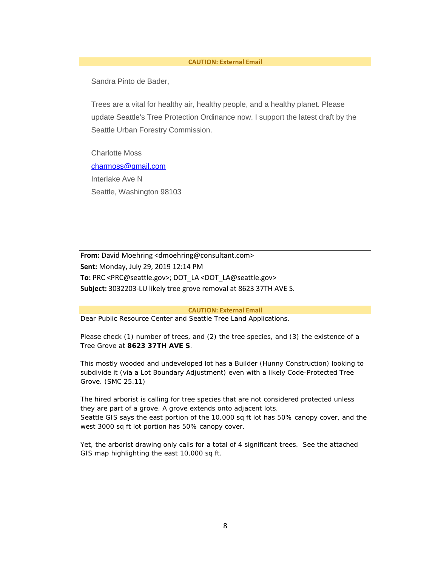#### **CAUTION: External Email**

Sandra Pinto de Bader,

Trees are a vital for healthy air, healthy people, and a healthy planet. Please update Seattle's Tree Protection Ordinance now. I support the latest draft by the Seattle Urban Forestry Commission.

Charlotte Moss [charmoss@gmail.com](mailto:charmoss@gmail.com) Interlake Ave N Seattle, Washington 98103

**From:** David Moehring <dmoehring@consultant.com> **Sent:** Monday, July 29, 2019 12:14 PM **To:** PRC <PRC@seattle.gov>; DOT\_LA <DOT\_LA@seattle.gov> **Subject:** 3032203-LU likely tree grove removal at 8623 37TH AVE S.

**CAUTION: External Email**

Dear Public Resource Center and Seattle Tree Land Applications.

Please check (1) number of trees, and (2) the tree species, and (3) the existence of a Tree Grove at **8623 37TH AVE S**.

This mostly wooded and undeveloped lot has a Builder (Hunny Construction) looking to subdivide it (via a Lot Boundary Adjustment) even with a likely Code-Protected Tree Grove. (SMC 25.11)

The hired arborist is calling for tree species that are not considered protected unless they are part of a grove. A grove extends onto adjacent lots. Seattle GIS says the east portion of the 10,000 sq ft lot has 50% canopy cover, and the west 3000 sq ft lot portion has 50% canopy cover.

Yet, the arborist drawing only calls for a total of 4 significant trees. See the attached GIS map highlighting the east 10,000 sq ft.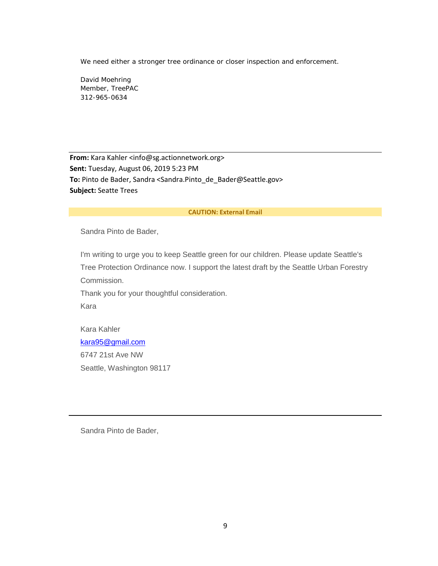We need either a stronger tree ordinance or closer inspection and enforcement.

David Moehring Member, TreePAC 312-965-0634

**From:** Kara Kahler <info@sg.actionnetwork.org> **Sent:** Tuesday, August 06, 2019 5:23 PM **To:** Pinto de Bader, Sandra <Sandra.Pinto\_de\_Bader@Seattle.gov> **Subject:** Seatte Trees

# **CAUTION: External Email**

Sandra Pinto de Bader,

I'm writing to urge you to keep Seattle green for our children. Please update Seattle's Tree Protection Ordinance now. I support the latest draft by the Seattle Urban Forestry Commission.

Thank you for your thoughtful consideration.

Kara

Kara Kahler [kara95@gmail.com](mailto:kara95@gmail.com) 6747 21st Ave NW Seattle, Washington 98117

Sandra Pinto de Bader,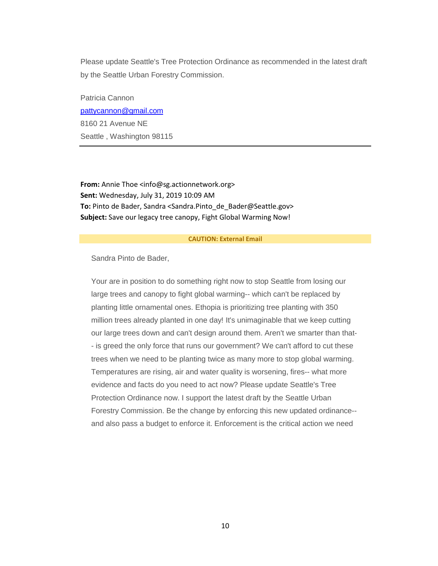Please update Seattle's Tree Protection Ordinance as recommended in the latest draft by the Seattle Urban Forestry Commission.

Patricia Cannon [pattycannon@gmail.com](mailto:pattycannon@gmail.com) 8160 21 Avenue NE Seattle , Washington 98115

**From:** Annie Thoe <info@sg.actionnetwork.org> **Sent:** Wednesday, July 31, 2019 10:09 AM **To:** Pinto de Bader, Sandra <Sandra.Pinto\_de\_Bader@Seattle.gov> **Subject:** Save our legacy tree canopy, Fight Global Warming Now!

#### **CAUTION: External Email**

Sandra Pinto de Bader,

Your are in position to do something right now to stop Seattle from losing our large trees and canopy to fight global warming-- which can't be replaced by planting little ornamental ones. Ethopia is prioritizing tree planting with 350 million trees already planted in one day! It's unimaginable that we keep cutting our large trees down and can't design around them. Aren't we smarter than that- - is greed the only force that runs our government? We can't afford to cut these trees when we need to be planting twice as many more to stop global warming. Temperatures are rising, air and water quality is worsening, fires-- what more evidence and facts do you need to act now? Please update Seattle's Tree Protection Ordinance now. I support the latest draft by the Seattle Urban Forestry Commission. Be the change by enforcing this new updated ordinance- and also pass a budget to enforce it. Enforcement is the critical action we need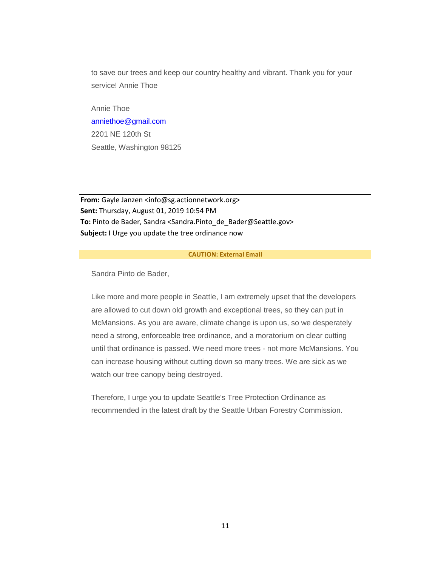to save our trees and keep our country healthy and vibrant. Thank you for your service! Annie Thoe

Annie Thoe [anniethoe@gmail.com](mailto:anniethoe@gmail.com) 2201 NE 120th St Seattle, Washington 98125

**From:** Gayle Janzen <info@sg.actionnetwork.org> **Sent:** Thursday, August 01, 2019 10:54 PM **To:** Pinto de Bader, Sandra <Sandra.Pinto\_de\_Bader@Seattle.gov> **Subject:** I Urge you update the tree ordinance now

### **CAUTION: External Email**

Sandra Pinto de Bader,

Like more and more people in Seattle, I am extremely upset that the developers are allowed to cut down old growth and exceptional trees, so they can put in McMansions. As you are aware, climate change is upon us, so we desperately need a strong, enforceable tree ordinance, and a moratorium on clear cutting until that ordinance is passed. We need more trees - not more McMansions. You can increase housing without cutting down so many trees. We are sick as we watch our tree canopy being destroyed.

Therefore, I urge you to update Seattle's Tree Protection Ordinance as recommended in the latest draft by the Seattle Urban Forestry Commission.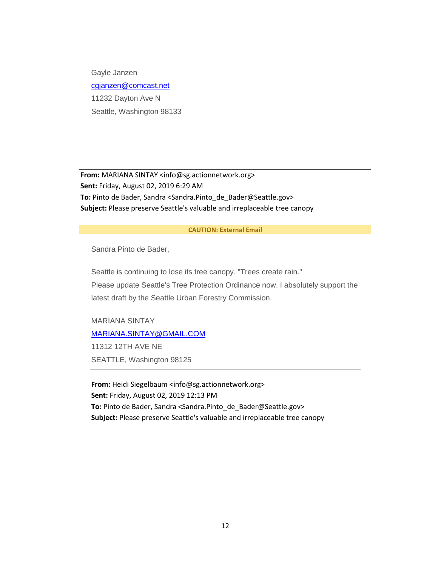Gayle Janzen [cgjanzen@comcast.net](mailto:cgjanzen@comcast.net) 11232 Dayton Ave N Seattle, Washington 98133

**From:** MARIANA SINTAY <info@sg.actionnetwork.org> **Sent:** Friday, August 02, 2019 6:29 AM **To:** Pinto de Bader, Sandra <Sandra.Pinto\_de\_Bader@Seattle.gov> **Subject:** Please preserve Seattle's valuable and irreplaceable tree canopy

## **CAUTION: External Email**

Sandra Pinto de Bader,

Seattle is continuing to lose its tree canopy. "Trees create rain." Please update Seattle's Tree Protection Ordinance now. I absolutely support the latest draft by the Seattle Urban Forestry Commission.

MARIANA SINTAY [MARIANA.SINTAY@GMAIL.COM](mailto:MARIANA.SINTAY@GMAIL.COM) 11312 12TH AVE NE SEATTLE, Washington 98125

**From:** Heidi Siegelbaum <info@sg.actionnetwork.org> **Sent:** Friday, August 02, 2019 12:13 PM **To:** Pinto de Bader, Sandra <Sandra.Pinto\_de\_Bader@Seattle.gov> **Subject:** Please preserve Seattle's valuable and irreplaceable tree canopy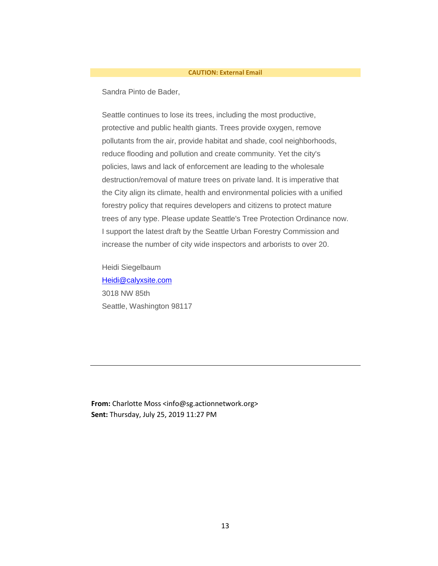# **CAUTION: External Email**

Sandra Pinto de Bader,

Seattle continues to lose its trees, including the most productive, protective and public health giants. Trees provide oxygen, remove pollutants from the air, provide habitat and shade, cool neighborhoods, reduce flooding and pollution and create community. Yet the city's policies, laws and lack of enforcement are leading to the wholesale destruction/removal of mature trees on private land. It is imperative that the City align its climate, health and environmental policies with a unified forestry policy that requires developers and citizens to protect mature trees of any type. Please update Seattle's Tree Protection Ordinance now. I support the latest draft by the Seattle Urban Forestry Commission and increase the number of city wide inspectors and arborists to over 20.

Heidi Siegelbaum [Heidi@calyxsite.com](mailto:Heidi@calyxsite.com) 3018 NW 85th Seattle, Washington 98117

**From:** Charlotte Moss <info@sg.actionnetwork.org> **Sent:** Thursday, July 25, 2019 11:27 PM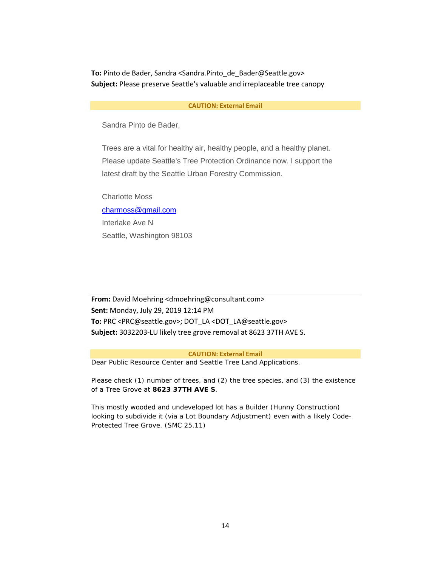**To:** Pinto de Bader, Sandra <Sandra.Pinto\_de\_Bader@Seattle.gov> **Subject:** Please preserve Seattle's valuable and irreplaceable tree canopy

## **CAUTION: External Email**

Sandra Pinto de Bader,

Trees are a vital for healthy air, healthy people, and a healthy planet. Please update Seattle's Tree Protection Ordinance now. I support the latest draft by the Seattle Urban Forestry Commission.

Charlotte Moss [charmoss@gmail.com](mailto:charmoss@gmail.com) Interlake Ave N Seattle, Washington 98103

**From:** David Moehring <dmoehring@consultant.com> **Sent:** Monday, July 29, 2019 12:14 PM **To:** PRC <PRC@seattle.gov>; DOT\_LA <DOT\_LA@seattle.gov> **Subject:** 3032203-LU likely tree grove removal at 8623 37TH AVE S.

### **CAUTION: External Email**

Dear Public Resource Center and Seattle Tree Land Applications.

Please check (1) number of trees, and (2) the tree species, and (3) the existence of a Tree Grove at **8623 37TH AVE S**.

This mostly wooded and undeveloped lot has a Builder (Hunny Construction) looking to subdivide it (via a Lot Boundary Adjustment) even with a likely Code-Protected Tree Grove. (SMC 25.11)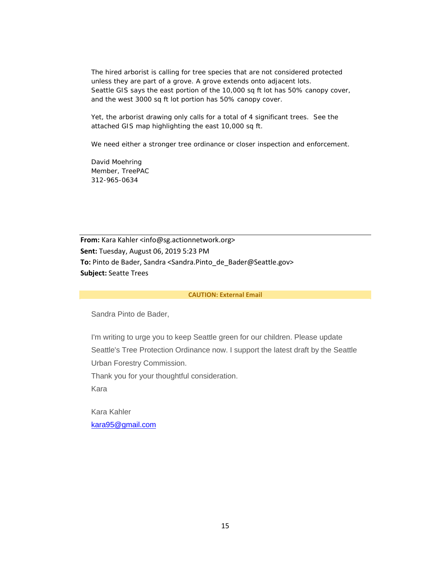The hired arborist is calling for tree species that are not considered protected unless they are part of a grove. A grove extends onto adjacent lots. Seattle GIS says the east portion of the 10,000 sq ft lot has 50% canopy cover, and the west 3000 sq ft lot portion has 50% canopy cover.

Yet, the arborist drawing only calls for a total of 4 significant trees. See the attached GIS map highlighting the east 10,000 sq ft.

We need either a stronger tree ordinance or closer inspection and enforcement.

David Moehring Member, TreePAC 312-965-0634

**From:** Kara Kahler <info@sg.actionnetwork.org> **Sent:** Tuesday, August 06, 2019 5:23 PM **To:** Pinto de Bader, Sandra <Sandra.Pinto\_de\_Bader@Seattle.gov> **Subject:** Seatte Trees

### **CAUTION: External Email**

Sandra Pinto de Bader,

I'm writing to urge you to keep Seattle green for our children. Please update Seattle's Tree Protection Ordinance now. I support the latest draft by the Seattle Urban Forestry Commission.

Thank you for your thoughtful consideration.

Kara

Kara Kahler [kara95@gmail.com](mailto:kara95@gmail.com)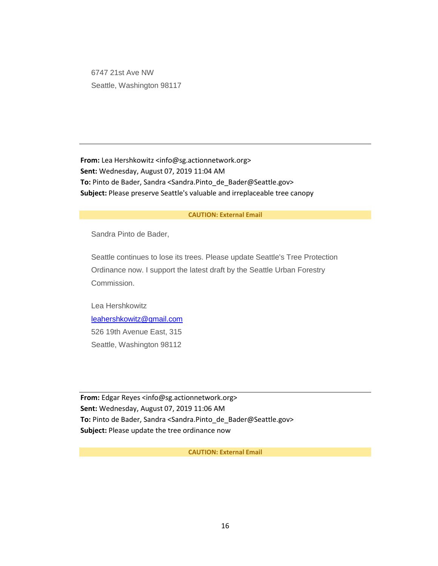6747 21st Ave NW Seattle, Washington 98117

**From:** Lea Hershkowitz <info@sg.actionnetwork.org> **Sent:** Wednesday, August 07, 2019 11:04 AM **To:** Pinto de Bader, Sandra <Sandra.Pinto\_de\_Bader@Seattle.gov> **Subject:** Please preserve Seattle's valuable and irreplaceable tree canopy

# **CAUTION: External Email**

Sandra Pinto de Bader,

Seattle continues to lose its trees. Please update Seattle's Tree Protection Ordinance now. I support the latest draft by the Seattle Urban Forestry Commission.

Lea Hershkowitz [leahershkowitz@gmail.com](mailto:leahershkowitz@gmail.com) 526 19th Avenue East, 315 Seattle, Washington 98112

**From:** Edgar Reyes <info@sg.actionnetwork.org> **Sent:** Wednesday, August 07, 2019 11:06 AM **To:** Pinto de Bader, Sandra <Sandra.Pinto\_de\_Bader@Seattle.gov> **Subject:** Please update the tree ordinance now

**CAUTION: External Email**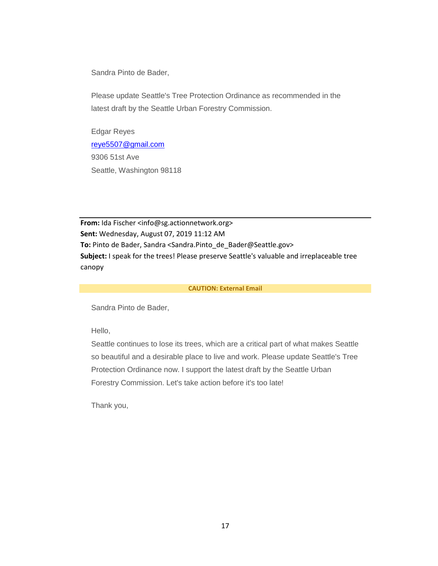Sandra Pinto de Bader,

Please update Seattle's Tree Protection Ordinance as recommended in the latest draft by the Seattle Urban Forestry Commission.

Edgar Reyes [reye5507@gmail.com](mailto:reye5507@gmail.com) 9306 51st Ave Seattle, Washington 98118

**From:** Ida Fischer <info@sg.actionnetwork.org> **Sent:** Wednesday, August 07, 2019 11:12 AM **To:** Pinto de Bader, Sandra <Sandra.Pinto\_de\_Bader@Seattle.gov> **Subject:** I speak for the trees! Please preserve Seattle's valuable and irreplaceable tree canopy

# **CAUTION: External Email**

Sandra Pinto de Bader,

Hello,

Seattle continues to lose its trees, which are a critical part of what makes Seattle so beautiful and a desirable place to live and work. Please update Seattle's Tree Protection Ordinance now. I support the latest draft by the Seattle Urban Forestry Commission. Let's take action before it's too late!

Thank you,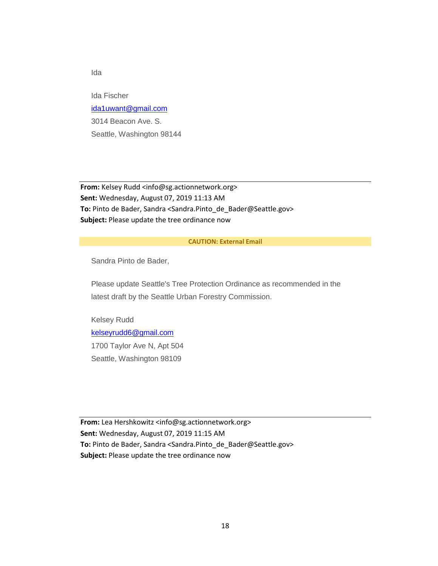Ida Fischer [ida1uwant@gmail.com](mailto:ida1uwant@gmail.com) 3014 Beacon Ave. S. Seattle, Washington 98144

**From:** Kelsey Rudd <info@sg.actionnetwork.org> **Sent:** Wednesday, August 07, 2019 11:13 AM **To:** Pinto de Bader, Sandra <Sandra.Pinto\_de\_Bader@Seattle.gov> **Subject:** Please update the tree ordinance now

# **CAUTION: External Email**

Sandra Pinto de Bader,

Please update Seattle's Tree Protection Ordinance as recommended in the latest draft by the Seattle Urban Forestry Commission.

Kelsey Rudd [kelseyrudd6@gmail.com](mailto:kelseyrudd6@gmail.com) 1700 Taylor Ave N, Apt 504 Seattle, Washington 98109

**From:** Lea Hershkowitz <info@sg.actionnetwork.org> **Sent:** Wednesday, August 07, 2019 11:15 AM **To:** Pinto de Bader, Sandra <Sandra.Pinto\_de\_Bader@Seattle.gov> **Subject:** Please update the tree ordinance now

Ida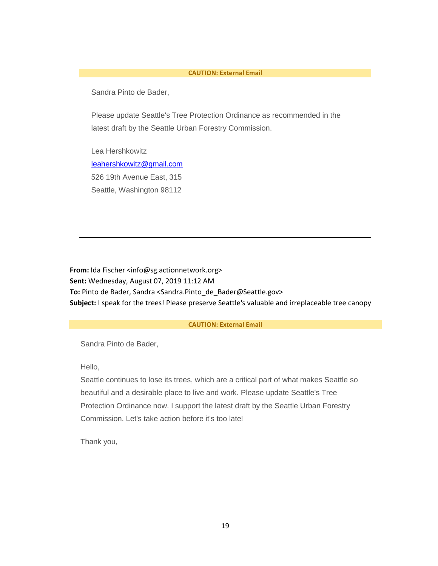# **CAUTION: External Email**

Sandra Pinto de Bader,

Please update Seattle's Tree Protection Ordinance as recommended in the latest draft by the Seattle Urban Forestry Commission.

Lea Hershkowitz [leahershkowitz@gmail.com](mailto:leahershkowitz@gmail.com) 526 19th Avenue East, 315 Seattle, Washington 98112

**From:** Ida Fischer <info@sg.actionnetwork.org> **Sent:** Wednesday, August 07, 2019 11:12 AM **To:** Pinto de Bader, Sandra <Sandra.Pinto\_de\_Bader@Seattle.gov> **Subject:** I speak for the trees! Please preserve Seattle's valuable and irreplaceable tree canopy

# **CAUTION: External Email**

Sandra Pinto de Bader,

Hello,

Seattle continues to lose its trees, which are a critical part of what makes Seattle so beautiful and a desirable place to live and work. Please update Seattle's Tree Protection Ordinance now. I support the latest draft by the Seattle Urban Forestry Commission. Let's take action before it's too late!

Thank you,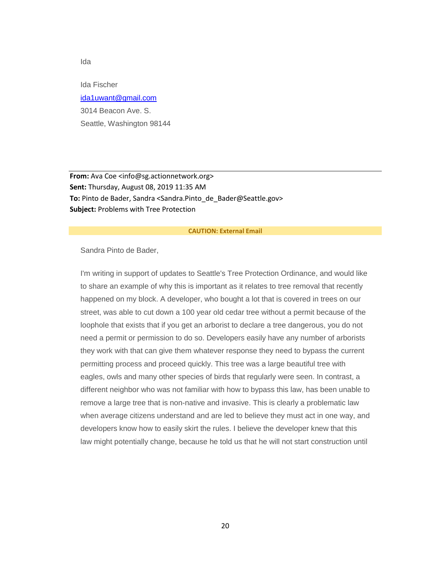Ida Fischer [ida1uwant@gmail.com](mailto:ida1uwant@gmail.com) 3014 Beacon Ave. S. Seattle, Washington 98144

**From:** Ava Coe <info@sg.actionnetwork.org> **Sent:** Thursday, August 08, 2019 11:35 AM **To:** Pinto de Bader, Sandra <Sandra.Pinto\_de\_Bader@Seattle.gov> **Subject:** Problems with Tree Protection

### **CAUTION: External Email**

Sandra Pinto de Bader,

I'm writing in support of updates to Seattle's Tree Protection Ordinance, and would like to share an example of why this is important as it relates to tree removal that recently happened on my block. A developer, who bought a lot that is covered in trees on our street, was able to cut down a 100 year old cedar tree without a permit because of the loophole that exists that if you get an arborist to declare a tree dangerous, you do not need a permit or permission to do so. Developers easily have any number of arborists they work with that can give them whatever response they need to bypass the current permitting process and proceed quickly. This tree was a large beautiful tree with eagles, owls and many other species of birds that regularly were seen. In contrast, a different neighbor who was not familiar with how to bypass this law, has been unable to remove a large tree that is non-native and invasive. This is clearly a problematic law when average citizens understand and are led to believe they must act in one way, and developers know how to easily skirt the rules. I believe the developer knew that this law might potentially change, because he told us that he will not start construction until

Ida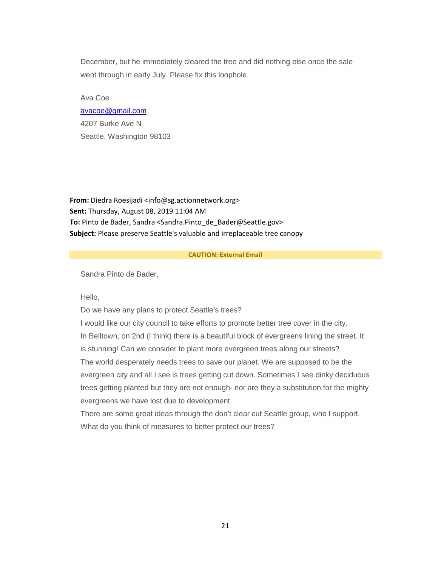December, but he immediately cleared the tree and did nothing else once the sale went through in early July. Please fix this loophole.

Ava Coe [avacoe@gmail.com](mailto:avacoe@gmail.com) 4207 Burke Ave N Seattle, Washington 98103

**From:** Diedra Roesijadi <info@sg.actionnetwork.org> **Sent:** Thursday, August 08, 2019 11:04 AM **To:** Pinto de Bader, Sandra <Sandra.Pinto\_de\_Bader@Seattle.gov> **Subject:** Please preserve Seattle's valuable and irreplaceable tree canopy

# **CAUTION: External Email**

Sandra Pinto de Bader,

Hello,

Do we have any plans to protect Seattle's trees?

I would like our city council to take efforts to promote better tree cover in the city. In Belltown, on 2nd (I think) there is a beautiful block of evergreens lining the street. It is stunning! Can we consider to plant more evergreen trees along our streets? The world desperately needs trees to save our planet. We are supposed to be the evergreen city and all I see is trees getting cut down. Sometimes I see dinky deciduous trees getting planted but they are not enough- nor are they a substitution for the mighty evergreens we have lost due to development.

There are some great ideas through the don't clear cut Seattle group, who I support. What do you think of measures to better protect our trees?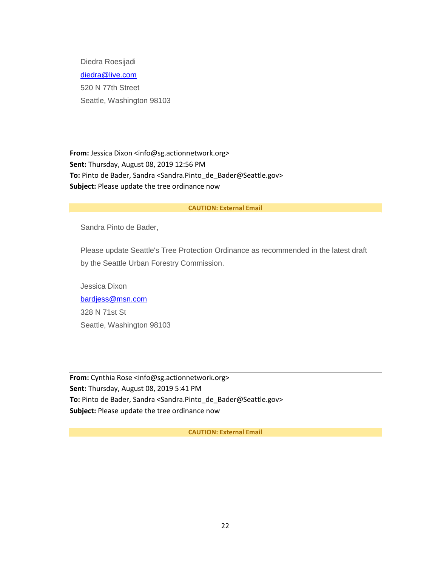Diedra Roesijadi [diedra@live.com](mailto:diedra@live.com) 520 N 77th Street Seattle, Washington 98103

From: Jessica Dixon <info@sg.actionnetwork.org> **Sent:** Thursday, August 08, 2019 12:56 PM **To:** Pinto de Bader, Sandra <Sandra.Pinto\_de\_Bader@Seattle.gov> **Subject:** Please update the tree ordinance now

## **CAUTION: External Email**

Sandra Pinto de Bader,

Please update Seattle's Tree Protection Ordinance as recommended in the latest draft by the Seattle Urban Forestry Commission.

Jessica Dixon [bardjess@msn.com](mailto:bardjess@msn.com) 328 N 71st St Seattle, Washington 98103

**From:** Cynthia Rose <info@sg.actionnetwork.org> **Sent:** Thursday, August 08, 2019 5:41 PM **To:** Pinto de Bader, Sandra <Sandra.Pinto\_de\_Bader@Seattle.gov> **Subject:** Please update the tree ordinance now

**CAUTION: External Email**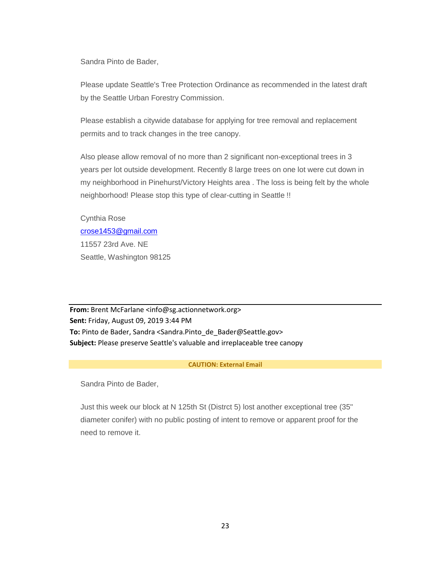Sandra Pinto de Bader,

Please update Seattle's Tree Protection Ordinance as recommended in the latest draft by the Seattle Urban Forestry Commission.

Please establish a citywide database for applying for tree removal and replacement permits and to track changes in the tree canopy.

Also please allow removal of no more than 2 significant non-exceptional trees in 3 years per lot outside development. Recently 8 large trees on one lot were cut down in my neighborhood in Pinehurst/Victory Heights area . The loss is being felt by the whole neighborhood! Please stop this type of clear-cutting in Seattle !!

Cynthia Rose [crose1453@gmail.com](mailto:crose1453@gmail.com) 11557 23rd Ave. NE Seattle, Washington 98125

**From:** Brent McFarlane <info@sg.actionnetwork.org> **Sent:** Friday, August 09, 2019 3:44 PM **To:** Pinto de Bader, Sandra <Sandra.Pinto\_de\_Bader@Seattle.gov> **Subject:** Please preserve Seattle's valuable and irreplaceable tree canopy

## **CAUTION: External Email**

Sandra Pinto de Bader,

Just this week our block at N 125th St (Distrct 5) lost another exceptional tree (35" diameter conifer) with no public posting of intent to remove or apparent proof for the need to remove it.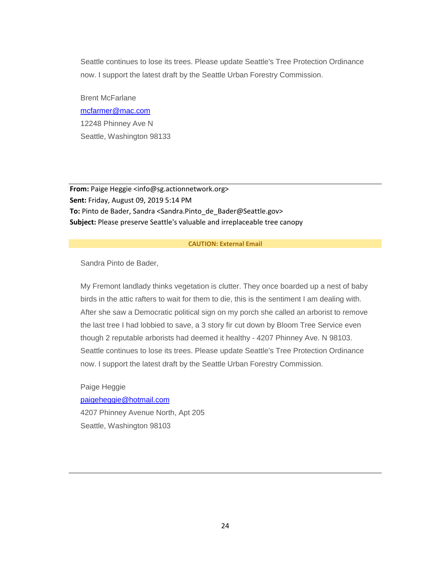Seattle continues to lose its trees. Please update Seattle's Tree Protection Ordinance now. I support the latest draft by the Seattle Urban Forestry Commission.

Brent McFarlane [mcfarmer@mac.com](mailto:mcfarmer@mac.com) 12248 Phinney Ave N Seattle, Washington 98133

**From:** Paige Heggie <info@sg.actionnetwork.org> **Sent:** Friday, August 09, 2019 5:14 PM **To:** Pinto de Bader, Sandra <Sandra.Pinto\_de\_Bader@Seattle.gov> **Subject:** Please preserve Seattle's valuable and irreplaceable tree canopy

# **CAUTION: External Email**

Sandra Pinto de Bader,

My Fremont landlady thinks vegetation is clutter. They once boarded up a nest of baby birds in the attic rafters to wait for them to die, this is the sentiment I am dealing with. After she saw a Democratic political sign on my porch she called an arborist to remove the last tree I had lobbied to save, a 3 story fir cut down by Bloom Tree Service even though 2 reputable arborists had deemed it healthy - 4207 Phinney Ave. N 98103. Seattle continues to lose its trees. Please update Seattle's Tree Protection Ordinance now. I support the latest draft by the Seattle Urban Forestry Commission.

Paige Heggie [paigeheggie@hotmail.com](mailto:paigeheggie@hotmail.com) 4207 Phinney Avenue North, Apt 205 Seattle, Washington 98103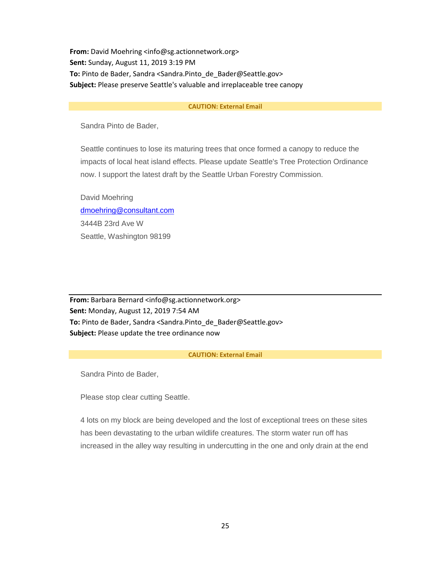**From:** David Moehring <info@sg.actionnetwork.org> **Sent:** Sunday, August 11, 2019 3:19 PM **To:** Pinto de Bader, Sandra <Sandra.Pinto\_de\_Bader@Seattle.gov> **Subject:** Please preserve Seattle's valuable and irreplaceable tree canopy

# **CAUTION: External Email**

Sandra Pinto de Bader,

Seattle continues to lose its maturing trees that once formed a canopy to reduce the impacts of local heat island effects. Please update Seattle's Tree Protection Ordinance now. I support the latest draft by the Seattle Urban Forestry Commission.

David Moehring [dmoehring@consultant.com](mailto:dmoehring@consultant.com) 3444B 23rd Ave W Seattle, Washington 98199

**From:** Barbara Bernard <info@sg.actionnetwork.org> **Sent:** Monday, August 12, 2019 7:54 AM **To:** Pinto de Bader, Sandra <Sandra.Pinto\_de\_Bader@Seattle.gov> **Subject:** Please update the tree ordinance now

# **CAUTION: External Email**

Sandra Pinto de Bader,

Please stop clear cutting Seattle.

4 lots on my block are being developed and the lost of exceptional trees on these sites has been devastating to the urban wildlife creatures. The storm water run off has increased in the alley way resulting in undercutting in the one and only drain at the end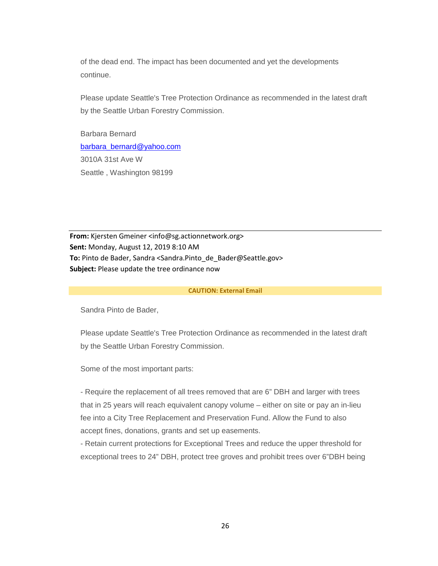of the dead end. The impact has been documented and yet the developments continue.

Please update Seattle's Tree Protection Ordinance as recommended in the latest draft by the Seattle Urban Forestry Commission.

Barbara Bernard [barbara\\_bernard@yahoo.com](mailto:barbara_bernard@yahoo.com) 3010A 31st Ave W Seattle , Washington 98199

**From:** Kjersten Gmeiner <info@sg.actionnetwork.org> **Sent:** Monday, August 12, 2019 8:10 AM **To:** Pinto de Bader, Sandra <Sandra.Pinto\_de\_Bader@Seattle.gov> **Subject:** Please update the tree ordinance now

# **CAUTION: External Email**

Sandra Pinto de Bader,

Please update Seattle's Tree Protection Ordinance as recommended in the latest draft by the Seattle Urban Forestry Commission.

Some of the most important parts:

- Require the replacement of all trees removed that are 6" DBH and larger with trees that in 25 years will reach equivalent canopy volume – either on site or pay an in-lieu fee into a City Tree Replacement and Preservation Fund. Allow the Fund to also accept fines, donations, grants and set up easements.

- Retain current protections for Exceptional Trees and reduce the upper threshold for exceptional trees to 24" DBH, protect tree groves and prohibit trees over 6"DBH being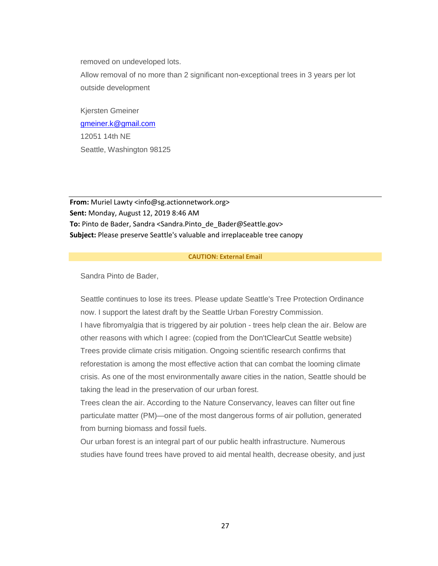removed on undeveloped lots.

Allow removal of no more than 2 significant non-exceptional trees in 3 years per lot outside development

Kjersten Gmeiner [gmeiner.k@gmail.com](mailto:gmeiner.k@gmail.com) 12051 14th NE Seattle, Washington 98125

**From:** Muriel Lawty <info@sg.actionnetwork.org> **Sent:** Monday, August 12, 2019 8:46 AM **To:** Pinto de Bader, Sandra <Sandra.Pinto\_de\_Bader@Seattle.gov> **Subject:** Please preserve Seattle's valuable and irreplaceable tree canopy

# **CAUTION: External Email**

Sandra Pinto de Bader,

Seattle continues to lose its trees. Please update Seattle's Tree Protection Ordinance now. I support the latest draft by the Seattle Urban Forestry Commission. I have fibromyalgia that is triggered by air polution - trees help clean the air. Below are other reasons with which I agree: (copied from the Don'tClearCut Seattle website) Trees provide climate crisis mitigation. Ongoing scientific research confirms that reforestation is among the most effective action that can combat the looming climate crisis. As one of the most environmentally aware cities in the nation, Seattle should be taking the lead in the preservation of our urban forest.

Trees clean the air. According to the Nature Conservancy, leaves can filter out fine particulate matter (PM)—one of the most dangerous forms of air pollution, generated from burning biomass and fossil fuels.

Our urban forest is an integral part of our public health infrastructure. Numerous studies have found trees have proved to aid mental health, decrease obesity, and just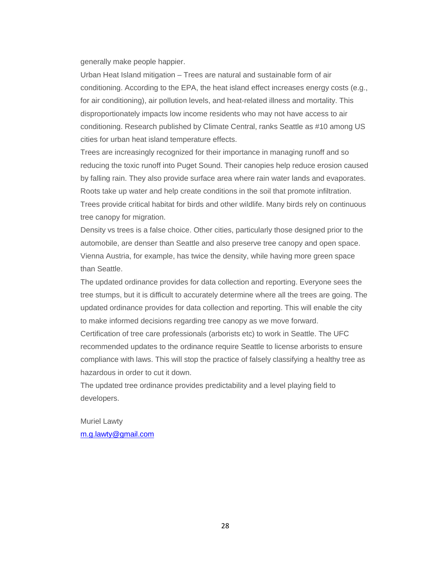generally make people happier.

Urban Heat Island mitigation – Trees are natural and sustainable form of air conditioning. According to the EPA, the heat island effect increases energy costs (e.g., for air conditioning), air pollution levels, and heat-related illness and mortality. This disproportionately impacts low income residents who may not have access to air conditioning. Research published by Climate Central, ranks Seattle as #10 among US cities for urban heat island temperature effects.

Trees are increasingly recognized for their importance in managing runoff and so reducing the toxic runoff into Puget Sound. Their canopies help reduce erosion caused by falling rain. They also provide surface area where rain water lands and evaporates. Roots take up water and help create conditions in the soil that promote infiltration. Trees provide critical habitat for birds and other wildlife. Many birds rely on continuous tree canopy for migration.

Density vs trees is a false choice. Other cities, particularly those designed prior to the automobile, are denser than Seattle and also preserve tree canopy and open space. Vienna Austria, for example, has twice the density, while having more green space than Seattle.

The updated ordinance provides for data collection and reporting. Everyone sees the tree stumps, but it is difficult to accurately determine where all the trees are going. The updated ordinance provides for data collection and reporting. This will enable the city to make informed decisions regarding tree canopy as we move forward.

Certification of tree care professionals (arborists etc) to work in Seattle. The UFC recommended updates to the ordinance require Seattle to license arborists to ensure compliance with laws. This will stop the practice of falsely classifying a healthy tree as hazardous in order to cut it down.

The updated tree ordinance provides predictability and a level playing field to developers.

Muriel Lawty [m.g.lawty@gmail.com](mailto:m.g.lawty@gmail.com)

28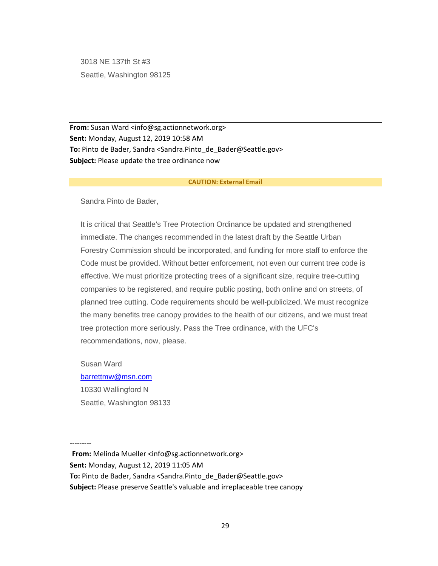3018 NE 137th St #3 Seattle, Washington 98125

**From:** Susan Ward <info@sg.actionnetwork.org> **Sent:** Monday, August 12, 2019 10:58 AM **To:** Pinto de Bader, Sandra <Sandra.Pinto\_de\_Bader@Seattle.gov> **Subject:** Please update the tree ordinance now

# **CAUTION: External Email**

Sandra Pinto de Bader,

It is critical that Seattle's Tree Protection Ordinance be updated and strengthened immediate. The changes recommended in the latest draft by the Seattle Urban Forestry Commission should be incorporated, and funding for more staff to enforce the Code must be provided. Without better enforcement, not even our current tree code is effective. We must prioritize protecting trees of a significant size, require tree-cutting companies to be registered, and require public posting, both online and on streets, of planned tree cutting. Code requirements should be well-publicized. We must recognize the many benefits tree canopy provides to the health of our citizens, and we must treat tree protection more seriously. Pass the Tree ordinance, with the UFC's recommendations, now, please.

Susan Ward [barrettmw@msn.com](mailto:barrettmw@msn.com) 10330 Wallingford N Seattle, Washington 98133

---------

**From:** Melinda Mueller <info@sg.actionnetwork.org> **Sent:** Monday, August 12, 2019 11:05 AM **To:** Pinto de Bader, Sandra <Sandra.Pinto de Bader@Seattle.gov> **Subject:** Please preserve Seattle's valuable and irreplaceable tree canopy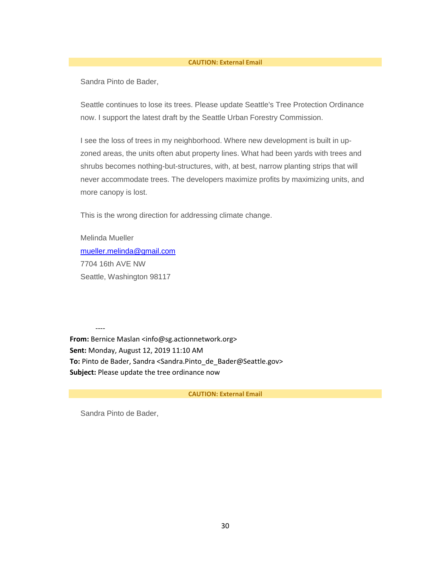#### **CAUTION: External Email**

Sandra Pinto de Bader,

Seattle continues to lose its trees. Please update Seattle's Tree Protection Ordinance now. I support the latest draft by the Seattle Urban Forestry Commission.

I see the loss of trees in my neighborhood. Where new development is built in upzoned areas, the units often abut property lines. What had been yards with trees and shrubs becomes nothing-but-structures, with, at best, narrow planting strips that will never accommodate trees. The developers maximize profits by maximizing units, and more canopy is lost.

This is the wrong direction for addressing climate change.

Melinda Mueller [mueller.melinda@gmail.com](mailto:mueller.melinda@gmail.com) 7704 16th AVE NW Seattle, Washington 98117

----

**From:** Bernice Maslan <info@sg.actionnetwork.org> **Sent:** Monday, August 12, 2019 11:10 AM **To:** Pinto de Bader, Sandra <Sandra.Pinto\_de\_Bader@Seattle.gov> **Subject:** Please update the tree ordinance now

#### **CAUTION: External Email**

Sandra Pinto de Bader,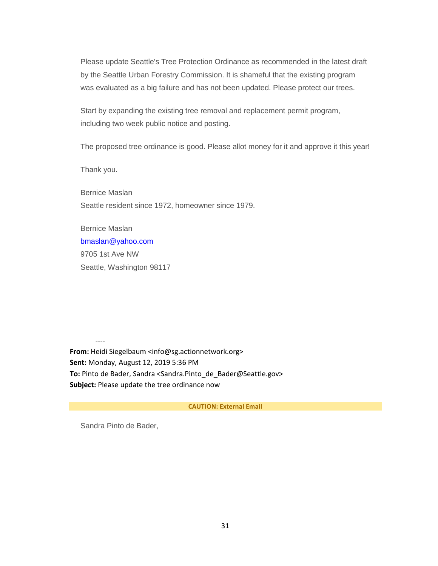Please update Seattle's Tree Protection Ordinance as recommended in the latest draft by the Seattle Urban Forestry Commission. It is shameful that the existing program was evaluated as a big failure and has not been updated. Please protect our trees.

Start by expanding the existing tree removal and replacement permit program, including two week public notice and posting.

The proposed tree ordinance is good. Please allot money for it and approve it this year!

Thank you.

Bernice Maslan Seattle resident since 1972, homeowner since 1979.

Bernice Maslan [bmaslan@yahoo.com](mailto:bmaslan@yahoo.com) 9705 1st Ave NW Seattle, Washington 98117

----

**From:** Heidi Siegelbaum <info@sg.actionnetwork.org> **Sent:** Monday, August 12, 2019 5:36 PM **To:** Pinto de Bader, Sandra <Sandra.Pinto\_de\_Bader@Seattle.gov> **Subject:** Please update the tree ordinance now

**CAUTION: External Email**

Sandra Pinto de Bader,